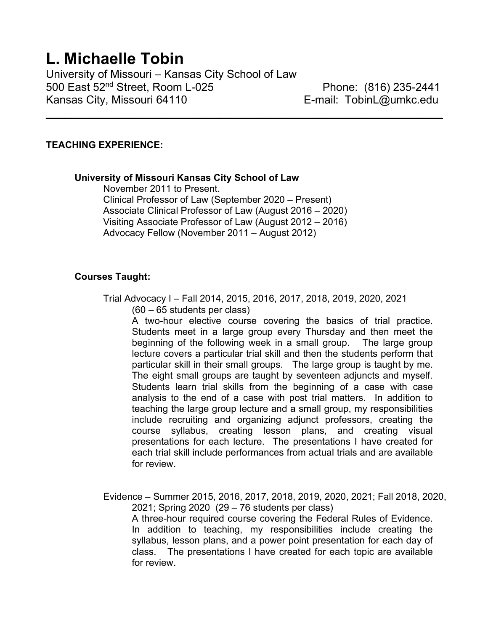# L. Michaelle Tobin

University of Missouri – Kansas City School of Law 500 East 52nd Street, Room L-025 Phone: (816) 235-2441 Kansas City, Missouri 64110 **E-mail: TobinL@umkc.edu** 

## TEACHING EXPERIENCE:

University of Missouri Kansas City School of Law

 November 2011 to Present. Clinical Professor of Law (September 2020 – Present) Associate Clinical Professor of Law (August 2016 – 2020) Visiting Associate Professor of Law (August 2012 – 2016) Advocacy Fellow (November 2011 – August 2012)

 $\_$  , and the set of the set of the set of the set of the set of the set of the set of the set of the set of the set of the set of the set of the set of the set of the set of the set of the set of the set of the set of th

## Courses Taught:

 Trial Advocacy I – Fall 2014, 2015, 2016, 2017, 2018, 2019, 2020, 2021 (60 – 65 students per class)

A two-hour elective course covering the basics of trial practice. Students meet in a large group every Thursday and then meet the beginning of the following week in a small group. The large group lecture covers a particular trial skill and then the students perform that particular skill in their small groups. The large group is taught by me. The eight small groups are taught by seventeen adjuncts and myself. Students learn trial skills from the beginning of a case with case analysis to the end of a case with post trial matters. In addition to teaching the large group lecture and a small group, my responsibilities include recruiting and organizing adjunct professors, creating the course syllabus, creating lesson plans, and creating visual presentations for each lecture. The presentations I have created for each trial skill include performances from actual trials and are available for review.

 Evidence – Summer 2015, 2016, 2017, 2018, 2019, 2020, 2021; Fall 2018, 2020, 2021; Spring 2020 (29 – 76 students per class) A three-hour required course covering the Federal Rules of Evidence. In addition to teaching, my responsibilities include creating the syllabus, lesson plans, and a power point presentation for each day of class. The presentations I have created for each topic are available for review.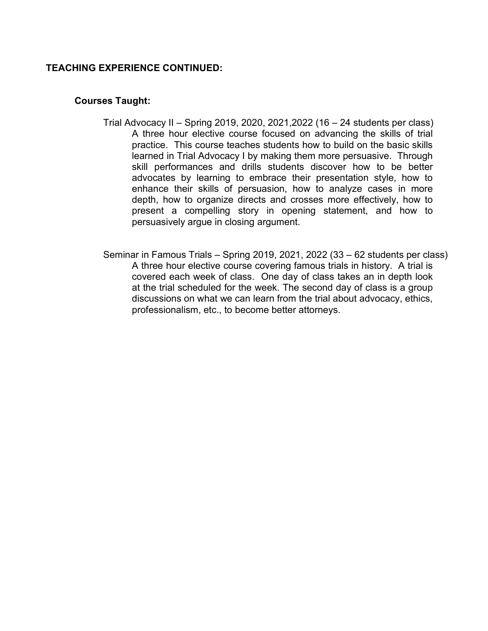## TEACHING EXPERIENCE CONTINUED:

## Courses Taught:

- Trial Advocacy II Spring 2019, 2020, 2021,2022 (16 24 students per class) A three hour elective course focused on advancing the skills of trial practice. This course teaches students how to build on the basic skills learned in Trial Advocacy I by making them more persuasive. Through skill performances and drills students discover how to be better advocates by learning to embrace their presentation style, how to enhance their skills of persuasion, how to analyze cases in more depth, how to organize directs and crosses more effectively, how to present a compelling story in opening statement, and how to persuasively argue in closing argument.
- Seminar in Famous Trials Spring 2019, 2021, 2022 (33 62 students per class) A three hour elective course covering famous trials in history. A trial is covered each week of class. One day of class takes an in depth look at the trial scheduled for the week. The second day of class is a group discussions on what we can learn from the trial about advocacy, ethics, professionalism, etc., to become better attorneys.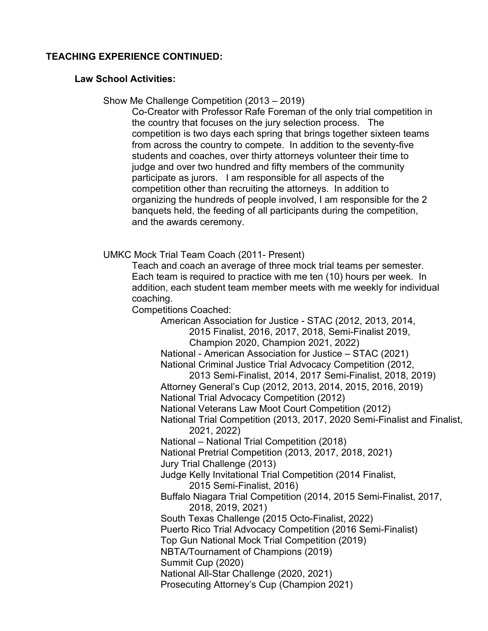## TEACHING EXPERIENCE CONTINUED:

## Law School Activities:

Show Me Challenge Competition (2013 – 2019)

 Co-Creator with Professor Rafe Foreman of the only trial competition in the country that focuses on the jury selection process. The competition is two days each spring that brings together sixteen teams from across the country to compete. In addition to the seventy-five students and coaches, over thirty attorneys volunteer their time to judge and over two hundred and fifty members of the community participate as jurors. I am responsible for all aspects of the competition other than recruiting the attorneys. In addition to organizing the hundreds of people involved, I am responsible for the 2 banquets held, the feeding of all participants during the competition, and the awards ceremony.

UMKC Mock Trial Team Coach (2011- Present)

 Teach and coach an average of three mock trial teams per semester. Each team is required to practice with me ten (10) hours per week. In addition, each student team member meets with me weekly for individual coaching.

Competitions Coached:

 American Association for Justice - STAC (2012, 2013, 2014, 2015 Finalist, 2016, 2017, 2018, Semi-Finalist 2019, Champion 2020, Champion 2021, 2022) National - American Association for Justice – STAC (2021) National Criminal Justice Trial Advocacy Competition (2012, 2013 Semi-Finalist, 2014, 2017 Semi-Finalist, 2018, 2019) Attorney General's Cup (2012, 2013, 2014, 2015, 2016, 2019) National Trial Advocacy Competition (2012) National Veterans Law Moot Court Competition (2012) National Trial Competition (2013, 2017, 2020 Semi-Finalist and Finalist, 2021, 2022) National – National Trial Competition (2018) National Pretrial Competition (2013, 2017, 2018, 2021) Jury Trial Challenge (2013) Judge Kelly Invitational Trial Competition (2014 Finalist, 2015 Semi-Finalist, 2016) Buffalo Niagara Trial Competition (2014, 2015 Semi-Finalist, 2017, 2018, 2019, 2021) South Texas Challenge (2015 Octo-Finalist, 2022) Puerto Rico Trial Advocacy Competition (2016 Semi-Finalist) Top Gun National Mock Trial Competition (2019) NBTA/Tournament of Champions (2019) Summit Cup (2020) National All-Star Challenge (2020, 2021) Prosecuting Attorney's Cup (Champion 2021)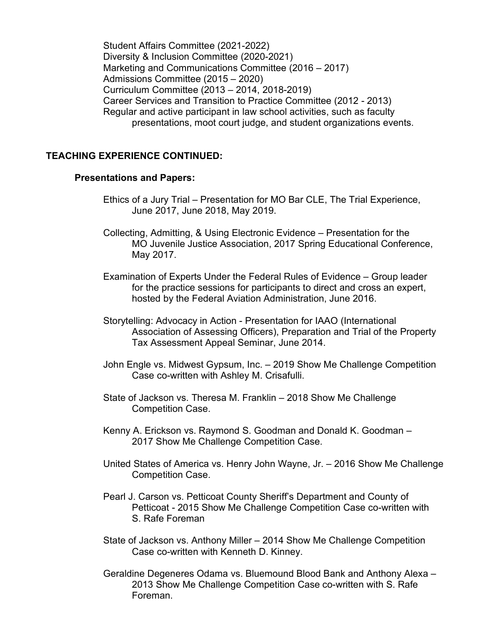Student Affairs Committee (2021-2022) Diversity & Inclusion Committee (2020-2021) Marketing and Communications Committee (2016 – 2017) Admissions Committee (2015 – 2020) Curriculum Committee (2013 – 2014, 2018-2019) Career Services and Transition to Practice Committee (2012 - 2013) Regular and active participant in law school activities, such as faculty presentations, moot court judge, and student organizations events.

### TEACHING EXPERIENCE CONTINUED:

#### Presentations and Papers:

- Ethics of a Jury Trial Presentation for MO Bar CLE, The Trial Experience, June 2017, June 2018, May 2019.
- Collecting, Admitting, & Using Electronic Evidence Presentation for the MO Juvenile Justice Association, 2017 Spring Educational Conference, May 2017.
- Examination of Experts Under the Federal Rules of Evidence Group leader for the practice sessions for participants to direct and cross an expert, hosted by the Federal Aviation Administration, June 2016.
- Storytelling: Advocacy in Action Presentation for IAAO (International Association of Assessing Officers), Preparation and Trial of the Property Tax Assessment Appeal Seminar, June 2014.
- John Engle vs. Midwest Gypsum, Inc. 2019 Show Me Challenge Competition Case co-written with Ashley M. Crisafulli.
- State of Jackson vs. Theresa M. Franklin 2018 Show Me Challenge Competition Case.
- Kenny A. Erickson vs. Raymond S. Goodman and Donald K. Goodman 2017 Show Me Challenge Competition Case.
- United States of America vs. Henry John Wayne, Jr. 2016 Show Me Challenge Competition Case.
- Pearl J. Carson vs. Petticoat County Sheriff's Department and County of Petticoat - 2015 Show Me Challenge Competition Case co-written with S. Rafe Foreman
- State of Jackson vs. Anthony Miller 2014 Show Me Challenge Competition Case co-written with Kenneth D. Kinney.
- Geraldine Degeneres Odama vs. Bluemound Blood Bank and Anthony Alexa 2013 Show Me Challenge Competition Case co-written with S. Rafe Foreman.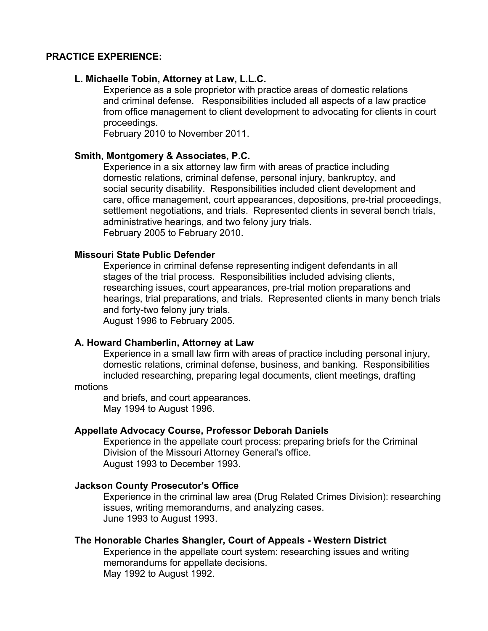### PRACTICE EXPERIENCE:

## L. Michaelle Tobin, Attorney at Law, L.L.C.

Experience as a sole proprietor with practice areas of domestic relations and criminal defense. Responsibilities included all aspects of a law practice from office management to client development to advocating for clients in court proceedings.

February 2010 to November 2011.

## Smith, Montgomery & Associates, P.C.

Experience in a six attorney law firm with areas of practice including domestic relations, criminal defense, personal injury, bankruptcy, and social security disability. Responsibilities included client development and care, office management, court appearances, depositions, pre-trial proceedings, settlement negotiations, and trials. Represented clients in several bench trials, administrative hearings, and two felony jury trials. February 2005 to February 2010.

#### Missouri State Public Defender

Experience in criminal defense representing indigent defendants in all stages of the trial process. Responsibilities included advising clients, researching issues, court appearances, pre-trial motion preparations and hearings, trial preparations, and trials. Represented clients in many bench trials and forty-two felony jury trials. August 1996 to February 2005.

#### A. Howard Chamberlin, Attorney at Law

 Experience in a small law firm with areas of practice including personal injury, domestic relations, criminal defense, business, and banking. Responsibilities included researching, preparing legal documents, client meetings, drafting

#### motions

and briefs, and court appearances. May 1994 to August 1996.

#### Appellate Advocacy Course, Professor Deborah Daniels

Experience in the appellate court process: preparing briefs for the Criminal Division of the Missouri Attorney General's office. August 1993 to December 1993.

#### Jackson County Prosecutor's Office

 Experience in the criminal law area (Drug Related Crimes Division): researching issues, writing memorandums, and analyzing cases. June 1993 to August 1993.

#### The Honorable Charles Shangler, Court of Appeals - Western District

 Experience in the appellate court system: researching issues and writing memorandums for appellate decisions. May 1992 to August 1992.